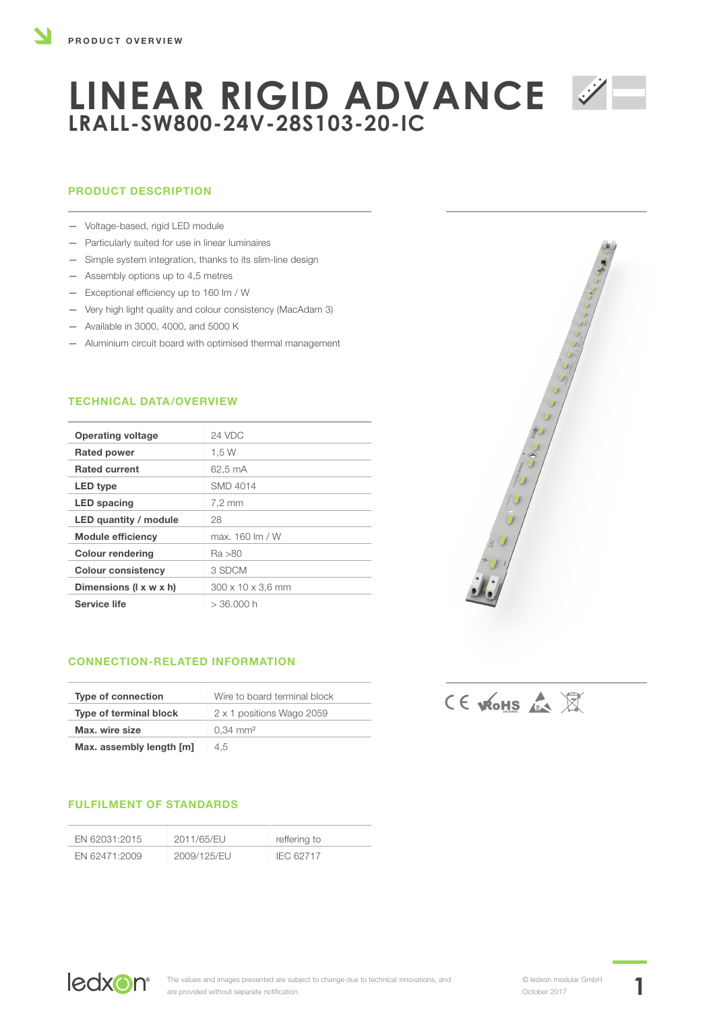## PRODUCT DESCRIPTION

- Voltage-based, rigid LED module
- Particularly suited for use in linear luminaires
- Simple system integration, thanks to its slim-line design
- Assembly options up to 4,5 metres
- Exceptional efficiency up to 160 lm / W
- Very high light quality and colour consistency (MacAdam 3)
- Available in 3000, 4000, and 5000 K
- Aluminium circuit board with optimised thermal management

## TECHNICAL DATA/OVERVIEW

| <b>Operating voltage</b>  | 24 VDC                      |
|---------------------------|-----------------------------|
| <b>Rated power</b>        | 1.5 W                       |
| <b>Rated current</b>      | 62.5 mA                     |
| LED type                  | <b>SMD 4014</b>             |
| <b>LED</b> spacing        | 7,2 mm                      |
| LED quantity / module     | 28                          |
| <b>Module efficiency</b>  | max. $160 \, \text{Im} / W$ |
| <b>Colour rendering</b>   | Ra >80                      |
| <b>Colour consistency</b> | 3 SDCM                      |
| Dimensions (I x w x h)    | 300 x 10 x 3,6 mm           |
| Service life              | $>36.000$ h                 |
|                           |                             |

## CONNECTION-RELATED INFORMATION

| <b>Type of connection</b> | Wire to board terminal block |
|---------------------------|------------------------------|
| Type of terminal block    | 2 x 1 positions Wago 2059    |
| Max. wire size            | $0.34$ mm <sup>2</sup>       |
| Max. assembly length [m]  | 4.5                          |

## FULFILMENT OF STANDARDS

| FN 62031:2015 | 2011/65/EU  | reffering to |
|---------------|-------------|--------------|
| EN 62471:2009 | 2009/125/EU | IEC 62717    |



CE WOHS &

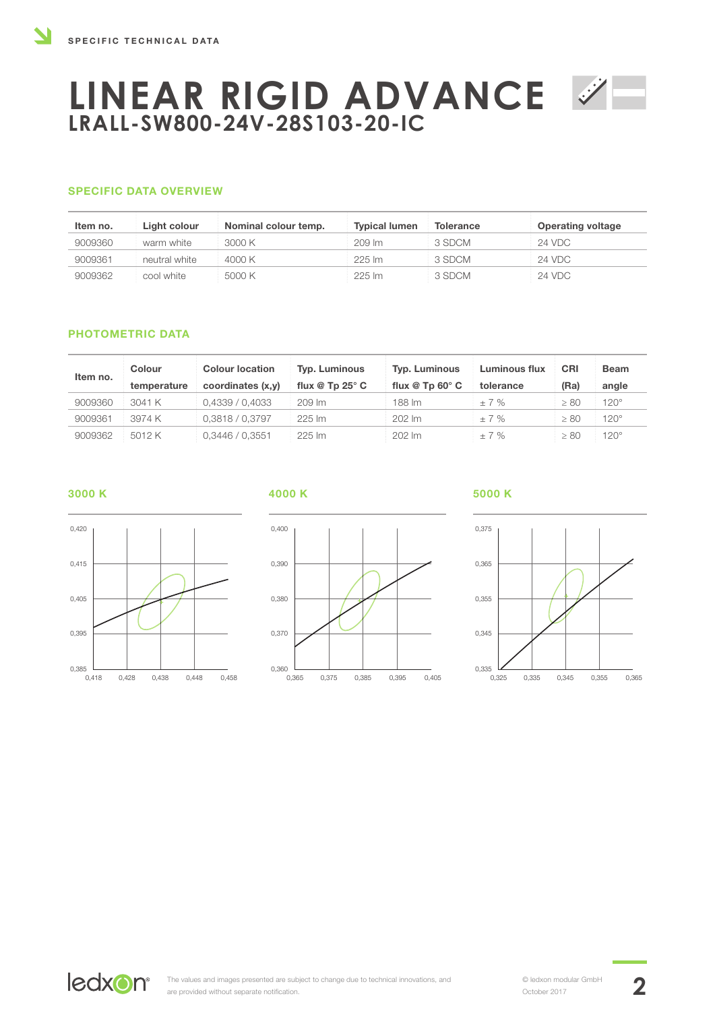### SPECIFIC DATA OVERVIEW

| Item no. | Light colour  | Nominal colour temp. | <b>Typical lumen</b> | <b>Tolerance</b> | <b>Operating voltage</b> |
|----------|---------------|----------------------|----------------------|------------------|--------------------------|
| 9009360  | warm white    | 3000 K               | $209 \, \text{Im}$   | 3 SDCM           | 24 VDC                   |
| 9009361  | neutral white | 4000 K               | 225 lm               | 3 SDCM           | 24 VDC                   |
| 9009362  | cool white    | 5000 K               | $225 \mathrm{Im}$    | 3 SDCM           | 24 VDC                   |

#### PHOTOMETRIC DATA

| Item no. | <b>Colour</b> | <b>Colour location</b> | Typ. Luminous               | <b>Typ. Luminous</b>        | <b>Luminous flux</b> | CRI       | <b>Beam</b> |
|----------|---------------|------------------------|-----------------------------|-----------------------------|----------------------|-----------|-------------|
|          | temperature   | coordinates (x,y)      | flux $@$ Tp 25 $^{\circ}$ C | flux $@$ Tp 60 $^{\circ}$ C | tolerance            | (Ra)      | angle       |
| 9009360  | 3041 K        | 0,4339/0,4033          | 209 lm                      | 188 lm                      | $+7%$                | $\geq 80$ | $120^\circ$ |
| 9009361  | 3974 K        | 0,3818 / 0,3797        | 225 lm                      | 202 lm                      | $\pm$ 7 %            | $\geq 80$ | $120^\circ$ |
| 9009362  | 5012 K        | 0,3446 / 0,3551        | $225 \mathrm{Im}$           | $202 \, \text{Im}$          | ±7%                  | $\geq 80$ | $120^\circ$ |

#### 3000 K

0,420

0,415

0,405

0,395

 $0,385$   $0,418$ 

0,418 0,428 0,438 0,448 0,458



#### 4000 K 5000 K



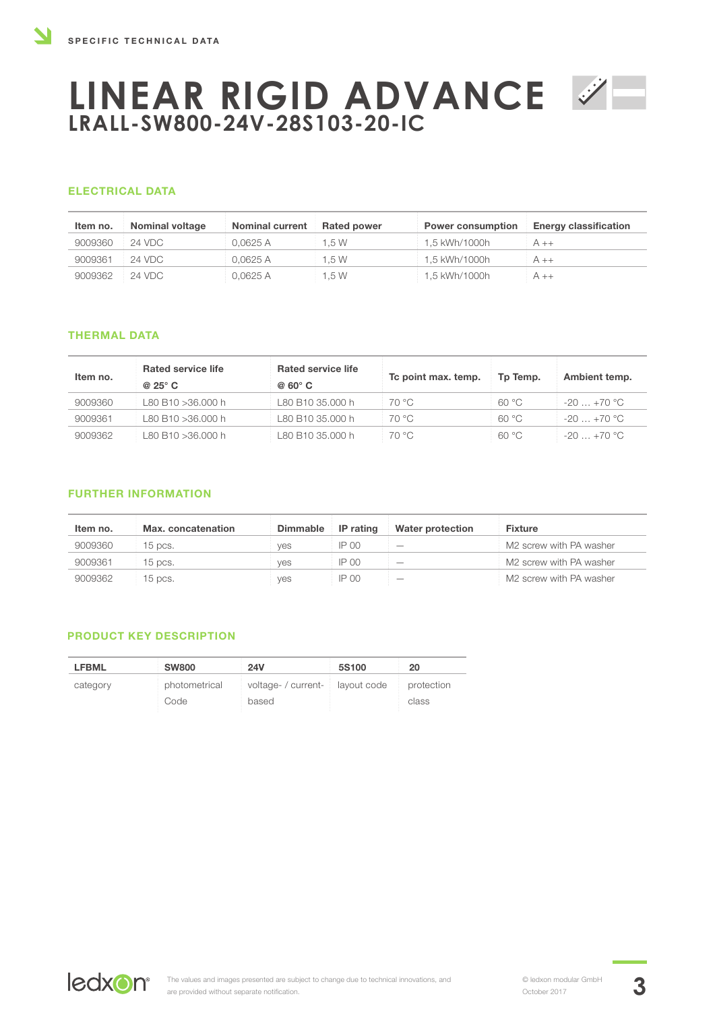### ELECTRICAL DATA

| Item no. | <b>Nominal voltage</b> | <b>Nominal current</b> | <b>Rated power</b> | <b>Power consumption</b> | <b>Energy classification</b> |
|----------|------------------------|------------------------|--------------------|--------------------------|------------------------------|
| 9009360  | 24 VDC                 | 0.0625 A               | 1.5 W              | 1.5 kWh/1000h            | $A + +$                      |
| 9009361  | 24 VDC                 | 0.0625 A               | 1.5 W              | 1.5 kWh/1000h            | $A_{++}$                     |
| 9009362  | 24 VDC                 | 0.0625 A               | 1.5 W              | 1,5 kWh/1000h            | $A + +$                      |

## THERMAL DATA

| Item no. | <b>Rated service life</b><br>$@25°$ C | <b>Rated service life</b><br>$@$ 60 $^{\circ}$ C | To point max. temp. | Tp Temp. | Ambient temp. |
|----------|---------------------------------------|--------------------------------------------------|---------------------|----------|---------------|
| 9009360  | L80 B10 >36.000 h                     | L80 B10 35.000 h                                 | 70 °C               | 60 °C    | $-20+70$ °C   |
| 9009361  | L80 B10 >36.000 h                     | L80 B10 35.000 h                                 | 70 °C               | 60 °C    | $-20+70$ °C   |
| 9009362  | L80 B10 >36.000 h                     | L80 B10 35.000 h                                 | 70 °C               | 60 °C    | $-20 + 70$ °C |

### FURTHER INFORMATION

| Item no. | Max. concatenation | <b>Dimmable</b> | IP rating | Water protection         | <b>Fixture</b>                      |
|----------|--------------------|-----------------|-----------|--------------------------|-------------------------------------|
| 9009360  | 15 pcs.            | ves             | $IP$ 00   | $\overline{\phantom{a}}$ | M2 screw with PA washer             |
| 9009361  | 15 pcs.            | ves             | $IP$ 00   |                          | M2 screw with PA washer             |
| 9009362  | $15$ pcs.          | yes             | IP 00     | $\overline{\phantom{a}}$ | M <sub>2</sub> screw with PA washer |

### PRODUCT KEY DESCRIPTION

| <b>LFBML</b> | <b>SW800</b>  | <b>24V</b>          | 5S100       | 20         |
|--------------|---------------|---------------------|-------------|------------|
| category     | photometrical | voltage- / current- | layout code | protection |
|              | Code          | based               |             | class      |

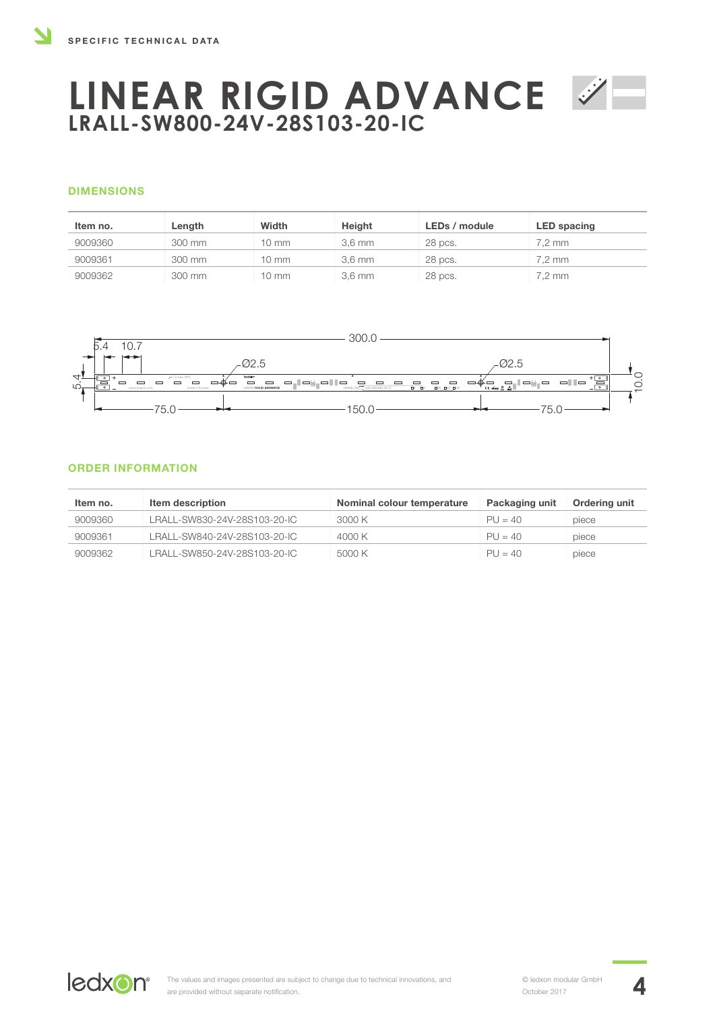### DIMENSIONS

| Item no. | Length | Width | Height           | LEDs / module | <b>LED</b> spacing |
|----------|--------|-------|------------------|---------------|--------------------|
| 9009360  | 300 mm | 10 mm | $3.6 \text{ mm}$ | 28 pcs.       | 7.2 mm             |
| 9009361  | 300 mm | 10 mm | $3.6 \text{ mm}$ | 28 pcs.       | $7.2 \text{ mm}$   |
| 9009362  | 300 mm | 10 mm | $3,6 \text{ mm}$ | 28 pcs.       | $7.2 \text{ mm}$   |



### ORDER INFORMATION

| Item no. | Item description             | Nominal colour temperature | Packaging unit | Ordering unit |
|----------|------------------------------|----------------------------|----------------|---------------|
| 9009360  | LRALL-SW830-24V-28S103-20-IC | 3000 K                     | $PU = 40$      | piece         |
| 9009361  | LRALL-SW840-24V-28S103-20-IC | 4000 K                     | $PU = 40$      | piece         |
| 9009362  | LRALL-SW850-24V-28S103-20-IC | 5000 K                     | $PU = 40$      | piece         |